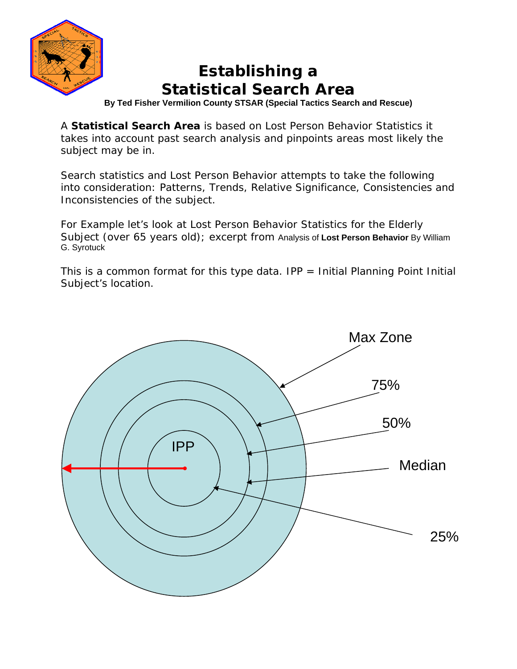

# **Establishing a Statistical Search Area**

**By Ted Fisher Vermilion County STSAR (Special Tactics Search and Rescue)** 

A **Statistical Search Area** is based on Lost Person Behavior Statistics it takes into account past search analysis and pinpoints areas most likely the subject may be in.

Search statistics and Lost Person Behavior attempts to take the following into consideration: Patterns, Trends, Relative Significance, Consistencies and Inconsistencies of the subject.

For Example let's look at Lost Person Behavior Statistics for the Elderly Subject (over 65 years old); excerpt from Analysis of **Lost Person Behavior** By William G. Syrotuck

This is a common format for this type data. IPP  $=$  Initial Planning Point Initial Subject's location.

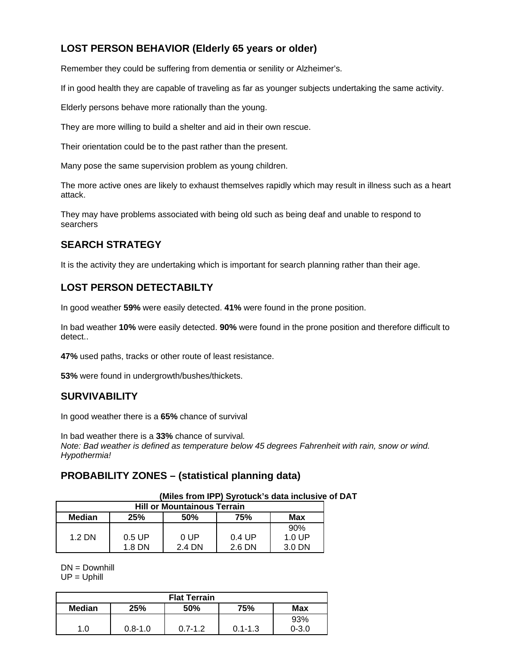## **LOST PERSON BEHAVIOR (Elderly 65 years or older)**

Remember they could be suffering from dementia or senility or Alzheimer's.

If in good health they are capable of traveling as far as younger subjects undertaking the same activity.

Elderly persons behave more rationally than the young.

They are more willing to build a shelter and aid in their own rescue.

Their orientation could be to the past rather than the present.

Many pose the same supervision problem as young children.

The more active ones are likely to exhaust themselves rapidly which may result in illness such as a heart attack.

They may have problems associated with being old such as being deaf and unable to respond to searchers

### **SEARCH STRATEGY**

It is the activity they are undertaking which is important for search planning rather than their age.

## **LOST PERSON DETECTABILTY**

In good weather **59%** were easily detected. **41%** were found in the prone position.

In bad weather **10%** were easily detected. **90%** were found in the prone position and therefore difficult to detect..

**47%** used paths, tracks or other route of least resistance.

**53%** were found in undergrowth/bushes/thickets.

#### **SURVIVABILITY**

In good weather there is a **65%** chance of survival

In bad weather there is a **33%** chance of survival*. Note: Bad weather is defined as temperature below 45 degrees Fahrenheit with rain, snow or wind. Hypothermia!*

#### **PROBABILITY ZONES – (statistical planning data)**

| (Miles from IPP) Syrotuck's data inclusive of DAT |  |  |  |
|---------------------------------------------------|--|--|--|
|---------------------------------------------------|--|--|--|

| <b>Hill or Mountainous Terrain</b> |          |        |          |          |  |  |
|------------------------------------|----------|--------|----------|----------|--|--|
| Median                             | 25%      | 50%    | 75%      | Max      |  |  |
|                                    |          |        |          | 90%      |  |  |
| $1.2$ DN                           | $0.5$ UP | 0 UP   | $0.4$ UP | $1.0$ UP |  |  |
|                                    | 1.8 DN   | 2.4 DN | 2.6 DN   | 3.0 DN   |  |  |

DN = Downhill

 $UP = Uphill$ 

| <b>Flat Terrain</b> |             |             |             |           |  |  |  |
|---------------------|-------------|-------------|-------------|-----------|--|--|--|
| <b>Median</b>       | 25%         | 50%         | 75%         | Max       |  |  |  |
|                     |             |             |             | 93%       |  |  |  |
| 1.0                 | $0.8 - 1.0$ | $0.7 - 1.2$ | $0.1 - 1.3$ | $0 - 3.0$ |  |  |  |